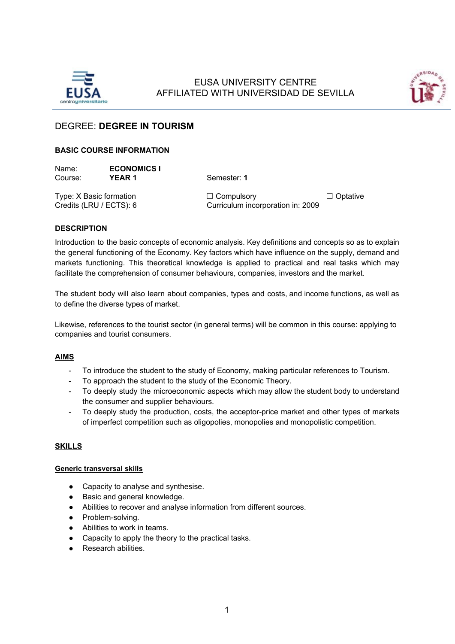

# EUSA UNIVERSITY CENTRE AFFILIATED WITH UNIVERSIDAD DE SEVILLA



# DEGREE: **DEGREE IN TOURISM**

# **BASIC COURSE INFORMATION**

| Name:   | <b>ECONOMICS I</b> |
|---------|--------------------|
| Course: | YEAR 1             |

**Semester: 1** 

Type: X Basic formation ☐ Compulsory ☐ Optative Credits (LRU / ECTS): 6 Curriculum incorporation in: 2009

# **DESCRIPTION**

Introduction to the basic concepts of economic analysis. Key definitions and concepts so as to explain the general functioning of the Economy. Key factors which have influence on the supply, demand and markets functioning. This theoretical knowledge is applied to practical and real tasks which may facilitate the comprehension of consumer behaviours, companies, investors and the market.

The student body will also learn about companies, types and costs, and income functions, as well as to define the diverse types of market.

Likewise, references to the tourist sector (in general terms) will be common in this course: applying to companies and tourist consumers.

#### **AIMS**

- To introduce the student to the study of Economy, making particular references to Tourism.
- To approach the student to the study of the Economic Theory.
- To deeply study the microeconomic aspects which may allow the student body to understand the consumer and supplier behaviours.
- To deeply study the production, costs, the acceptor-price market and other types of markets of imperfect competition such as oligopolies, monopolies and monopolistic competition.

# **SKILLS**

#### **Generic transversal skills**

- Capacity to analyse and synthesise.
- Basic and general knowledge.
- Abilities to recover and analyse information from different sources.
- Problem-solving.
- Abilities to work in teams.
- Capacity to apply the theory to the practical tasks.
- Research abilities.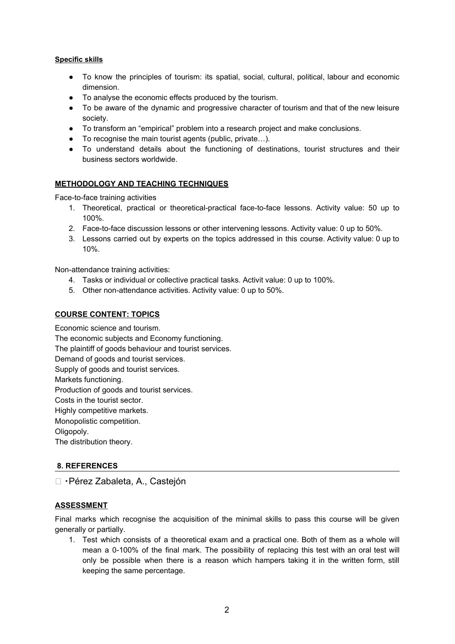# **Specific skills**

- To know the principles of tourism: its spatial, social, cultural, political, labour and economic dimension.
- To analyse the economic effects produced by the tourism.
- To be aware of the dynamic and progressive character of tourism and that of the new leisure society.
- To transform an "empirical" problem into a research project and make conclusions.
- To recognise the main tourist agents (public, private…).
- To understand details about the functioning of destinations, tourist structures and their business sectors worldwide.

# **METHODOLOGY AND TEACHING TECHNIQUES**

Face-to-face training activities

- 1. Theoretical, practical or theoretical-practical face-to-face lessons. Activity value: 50 up to 100%.
- 2. Face-to-face discussion lessons or other intervening lessons. Activity value: 0 up to 50%.
- 3. Lessons carried out by experts on the topics addressed in this course. Activity value: 0 up to 10%.

Non-attendance training activities:

- 4. Tasks or individual or collective practical tasks. Activit value: 0 up to 100%.
- 5. Other non-attendance activities. Activity value: 0 up to 50%.

# **COURSE CONTENT: TOPICS**

Economic science and tourism. The economic subjects and Economy functioning. The plaintiff of goods behaviour and tourist services. Demand of goods and tourist services. Supply of goods and tourist services. Markets functioning. Production of goods and tourist services. Costs in the tourist sector. Highly competitive markets. Monopolistic competition. Oligopoly. The distribution theory.

#### **8. REFERENCES**

□ · Pérez Zabaleta, A., Castejón

#### **ASSESSMENT**

Final marks which recognise the acquisition of the minimal skills to pass this course will be given generally or partially.

1. Test which consists of a theoretical exam and a practical one. Both of them as a whole will mean a 0-100% of the final mark. The possibility of replacing this test with an oral test will only be possible when there is a reason which hampers taking it in the written form, still keeping the same percentage.